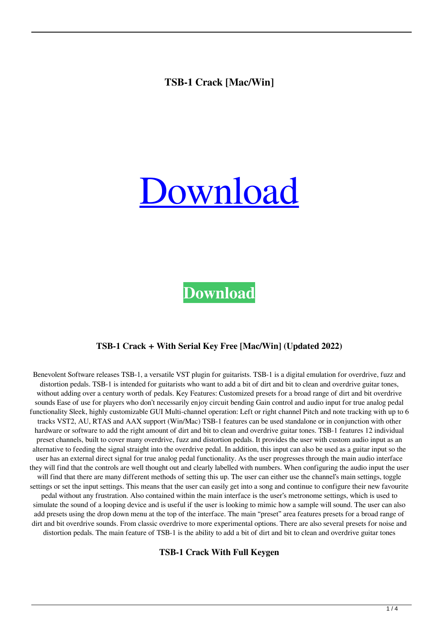## **TSB-1 Crack [Mac/Win]**

# [Download](http://evacdir.com/VFNCLTEVFN.mincemeat/serrv/ZG93bmxvYWR8TWk1TmpSMVlYeDhNVFkxTkRRek5qWTFPSHg4TWpVNU1IeDhLRTBwSUZkdmNtUndjbVZ6Y3lCYldFMU1VbEJESUZZeUlGQkVSbDA.disempowering.walkthroughs)

**[Download](http://evacdir.com/VFNCLTEVFN.mincemeat/serrv/ZG93bmxvYWR8TWk1TmpSMVlYeDhNVFkxTkRRek5qWTFPSHg4TWpVNU1IeDhLRTBwSUZkdmNtUndjbVZ6Y3lCYldFMU1VbEJESUZZeUlGQkVSbDA.disempowering.walkthroughs)**

#### **TSB-1 Crack + With Serial Key Free [Mac/Win] (Updated 2022)**

Benevolent Software releases TSB-1, a versatile VST plugin for guitarists. TSB-1 is a digital emulation for overdrive, fuzz and distortion pedals. TSB-1 is intended for guitarists who want to add a bit of dirt and bit to clean and overdrive guitar tones, without adding over a century worth of pedals. Key Features: Customized presets for a broad range of dirt and bit overdrive sounds Ease of use for players who don't necessarily enjoy circuit bending Gain control and audio input for true analog pedal functionality Sleek, highly customizable GUI Multi-channel operation: Left or right channel Pitch and note tracking with up to 6 tracks VST2, AU, RTAS and AAX support (Win/Mac) TSB-1 features can be used standalone or in conjunction with other hardware or software to add the right amount of dirt and bit to clean and overdrive guitar tones. TSB-1 features 12 individual preset channels, built to cover many overdrive, fuzz and distortion pedals. It provides the user with custom audio input as an alternative to feeding the signal straight into the overdrive pedal. In addition, this input can also be used as a guitar input so the user has an external direct signal for true analog pedal functionality. As the user progresses through the main audio interface they will find that the controls are well thought out and clearly labelled with numbers. When configuring the audio input the user will find that there are many different methods of setting this up. The user can either use the channel's main settings, toggle settings or set the input settings. This means that the user can easily get into a song and continue to configure their new favourite pedal without any frustration. Also contained within the main interface is the user's metronome settings, which is used to simulate the sound of a looping device and is useful if the user is looking to mimic how a sample will sound. The user can also add presets using the drop down menu at the top of the interface. The main "preset" area features presets for a broad range of dirt and bit overdrive sounds. From classic overdrive to more experimental options. There are also several presets for noise and distortion pedals. The main feature of TSB-1 is the ability to add a bit of dirt and bit to clean and overdrive guitar tones

#### **TSB-1 Crack With Full Keygen**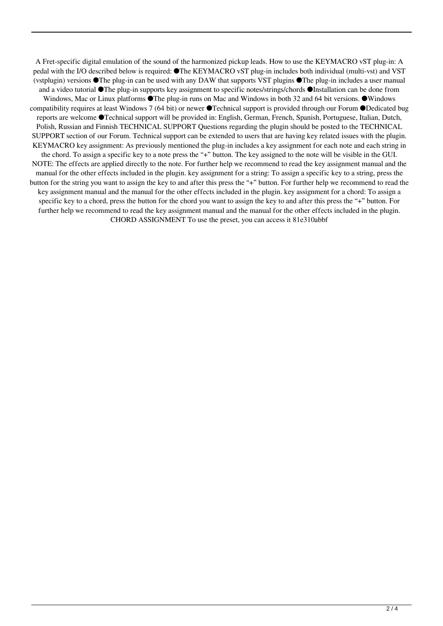A Fret-specific digital emulation of the sound of the harmonized pickup leads. How to use the KEYMACRO vST plug-in: A pedal with the I/O described below is required: ●The KEYMACRO vST plug-in includes both individual (multi-vst) and VST (vstplugin) versions ●The plug-in can be used with any DAW that supports VST plugins ●The plug-in includes a user manual and a video tutorial ●The plug-in supports key assignment to specific notes/strings/chords ●Installation can be done from Windows, Mac or Linux platforms ●The plug-in runs on Mac and Windows in both 32 and 64 bit versions. ●Windows compatibility requires at least Windows 7 (64 bit) or newer ●Technical support is provided through our Forum ●Dedicated bug reports are welcome ●Technical support will be provided in: English, German, French, Spanish, Portuguese, Italian, Dutch, Polish, Russian and Finnish TECHNICAL SUPPORT Questions regarding the plugin should be posted to the TECHNICAL SUPPORT section of our Forum. Technical support can be extended to users that are having key related issues with the plugin. KEYMACRO key assignment: As previously mentioned the plug-in includes a key assignment for each note and each string in the chord. To assign a specific key to a note press the "+" button. The key assigned to the note will be visible in the GUI. NOTE: The effects are applied directly to the note. For further help we recommend to read the key assignment manual and the manual for the other effects included in the plugin. key assignment for a string: To assign a specific key to a string, press the button for the string you want to assign the key to and after this press the "+" button. For further help we recommend to read the key assignment manual and the manual for the other effects included in the plugin. key assignment for a chord: To assign a specific key to a chord, press the button for the chord you want to assign the key to and after this press the "+" button. For further help we recommend to read the key assignment manual and the manual for the other effects included in the plugin. CHORD ASSIGNMENT To use the preset, you can access it 81e310abbf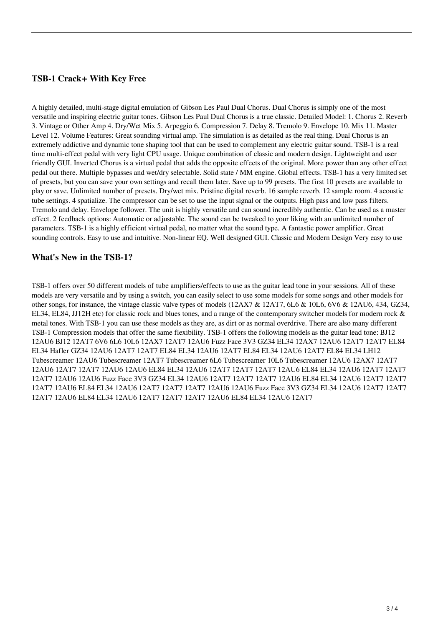### **TSB-1 Crack+ With Key Free**

A highly detailed, multi-stage digital emulation of Gibson Les Paul Dual Chorus. Dual Chorus is simply one of the most versatile and inspiring electric guitar tones. Gibson Les Paul Dual Chorus is a true classic. Detailed Model: 1. Chorus 2. Reverb 3. Vintage or Other Amp 4. Dry/Wet Mix 5. Arpeggio 6. Compression 7. Delay 8. Tremolo 9. Envelope 10. Mix 11. Master Level 12. Volume Features: Great sounding virtual amp. The simulation is as detailed as the real thing. Dual Chorus is an extremely addictive and dynamic tone shaping tool that can be used to complement any electric guitar sound. TSB-1 is a real time multi-effect pedal with very light CPU usage. Unique combination of classic and modern design. Lightweight and user friendly GUI. Inverted Chorus is a virtual pedal that adds the opposite effects of the original. More power than any other effect pedal out there. Multiple bypasses and wet/dry selectable. Solid state / MM engine. Global effects. TSB-1 has a very limited set of presets, but you can save your own settings and recall them later. Save up to 99 presets. The first 10 presets are available to play or save. Unlimited number of presets. Dry/wet mix. Pristine digital reverb. 16 sample reverb. 12 sample room. 4 acoustic tube settings. 4 spatialize. The compressor can be set to use the input signal or the outputs. High pass and low pass filters. Tremolo and delay. Envelope follower. The unit is highly versatile and can sound incredibly authentic. Can be used as a master effect. 2 feedback options: Automatic or adjustable. The sound can be tweaked to your liking with an unlimited number of parameters. TSB-1 is a highly efficient virtual pedal, no matter what the sound type. A fantastic power amplifier. Great sounding controls. Easy to use and intuitive. Non-linear EQ. Well designed GUI. Classic and Modern Design Very easy to use

#### **What's New in the TSB-1?**

TSB-1 offers over 50 different models of tube amplifiers/effects to use as the guitar lead tone in your sessions. All of these models are very versatile and by using a switch, you can easily select to use some models for some songs and other models for other songs, for instance, the vintage classic valve types of models (12AX7 & 12AT7, 6L6 & 10L6, 6V6 & 12AU6, 434, GZ34, EL34, EL84, JJ12H etc) for classic rock and blues tones, and a range of the contemporary switcher models for modern rock & metal tones. With TSB-1 you can use these models as they are, as dirt or as normal overdrive. There are also many different TSB-1 Compression models that offer the same flexibility. TSB-1 offers the following models as the guitar lead tone: BJ12 12AU6 BJ12 12AT7 6V6 6L6 10L6 12AX7 12AT7 12AU6 Fuzz Face 3V3 GZ34 EL34 12AX7 12AU6 12AT7 12AT7 EL84 EL34 Hafler GZ34 12AU6 12AT7 12AT7 EL84 EL34 12AU6 12AT7 EL84 EL34 12AU6 12AT7 EL84 EL34 LH12 Tubescreamer 12AU6 Tubescreamer 12AT7 Tubescreamer 6L6 Tubescreamer 10L6 Tubescreamer 12AU6 12AX7 12AT7 12AU6 12AT7 12AT7 12AU6 12AU6 EL84 EL34 12AU6 12AT7 12AT7 12AT7 12AU6 EL84 EL34 12AU6 12AT7 12AT7 12AT7 12AU6 12AU6 Fuzz Face 3V3 GZ34 EL34 12AU6 12AT7 12AT7 12AT7 12AU6 EL84 EL34 12AU6 12AT7 12AT7 12AT7 12AU6 EL84 EL34 12AU6 12AT7 12AT7 12AT7 12AU6 12AU6 Fuzz Face 3V3 GZ34 EL34 12AU6 12AT7 12AT7 12AT7 12AU6 EL84 EL34 12AU6 12AT7 12AT7 12AT7 12AU6 EL84 EL34 12AU6 12AT7